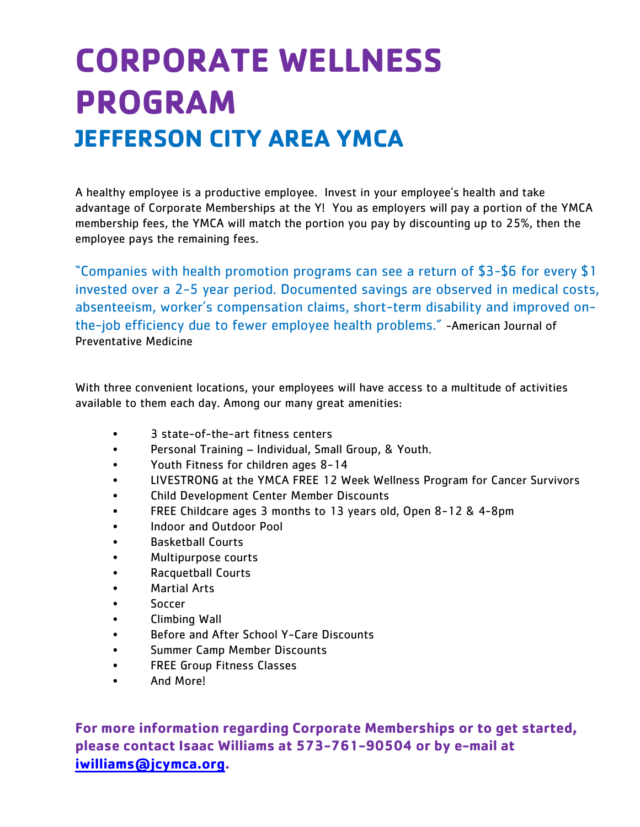# **CORPORATE WELLNESS PROGRAM JEFFERSON CITY AREA YMCA**

A healthy employee is a productive employee. Invest in your employee's health and take advantage of Corporate Memberships at the Y! You as employers will pay a portion of the YMCA membership fees, the YMCA will match the portion you pay by discounting up to 25%, then the employee pays the remaining fees.

"Companies with health promotion programs can see a return of \$3-\$6 for every \$1 invested over a 2-5 year period. Documented savings are observed in medical costs, absenteeism, worker's compensation claims, short-term disability and improved onthe-job efficiency due to fewer employee health problems." -American Journal of Preventative Medicine

With three convenient locations, your employees will have access to a multitude of activities available to them each day. Among our many great amenities:

- 3 state-of-the-art fitness centers
- Personal Training Individual, Small Group, & Youth.
- Youth Fitness for children ages 8-14
- LIVESTRONG at the YMCA FREE 12 Week Wellness Program for Cancer Survivors
- Child Development Center Member Discounts
- FREE Childcare ages 3 months to 13 years old, Open 8-12 & 4-8pm
- Indoor and Outdoor Pool
- Basketball Courts
- Multipurpose courts
- Racquetball Courts
- Martial Arts
- Soccer
- Climbing Wall
- Before and After School Y-Care Discounts
- Summer Camp Member Discounts
- FREE Group Fitness Classes
- And More!

**For more information regarding Corporate Memberships or to get started, please contact Isaac Williams at 573-761-90504 or by e-mail at [iwilliams@jcymca.org.](mailto:iwilliams@jcymca.org)**